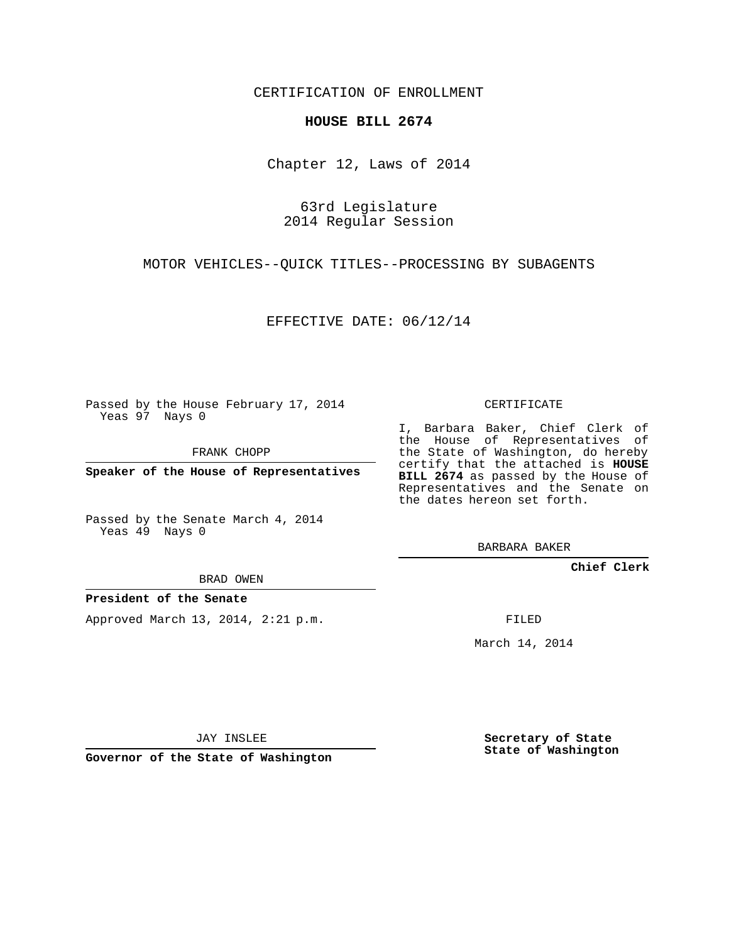CERTIFICATION OF ENROLLMENT

## **HOUSE BILL 2674**

Chapter 12, Laws of 2014

63rd Legislature 2014 Regular Session

MOTOR VEHICLES--QUICK TITLES--PROCESSING BY SUBAGENTS

EFFECTIVE DATE: 06/12/14

Passed by the House February 17, 2014 Yeas 97 Nays 0

FRANK CHOPP

**Speaker of the House of Representatives**

Passed by the Senate March 4, 2014 Yeas 49 Nays 0

BRAD OWEN

## **President of the Senate**

Approved March 13, 2014, 2:21 p.m.

CERTIFICATE

I, Barbara Baker, Chief Clerk of the House of Representatives of the State of Washington, do hereby certify that the attached is **HOUSE BILL 2674** as passed by the House of Representatives and the Senate on the dates hereon set forth.

BARBARA BAKER

**Chief Clerk**

FILED

March 14, 2014

JAY INSLEE

**Governor of the State of Washington**

**Secretary of State State of Washington**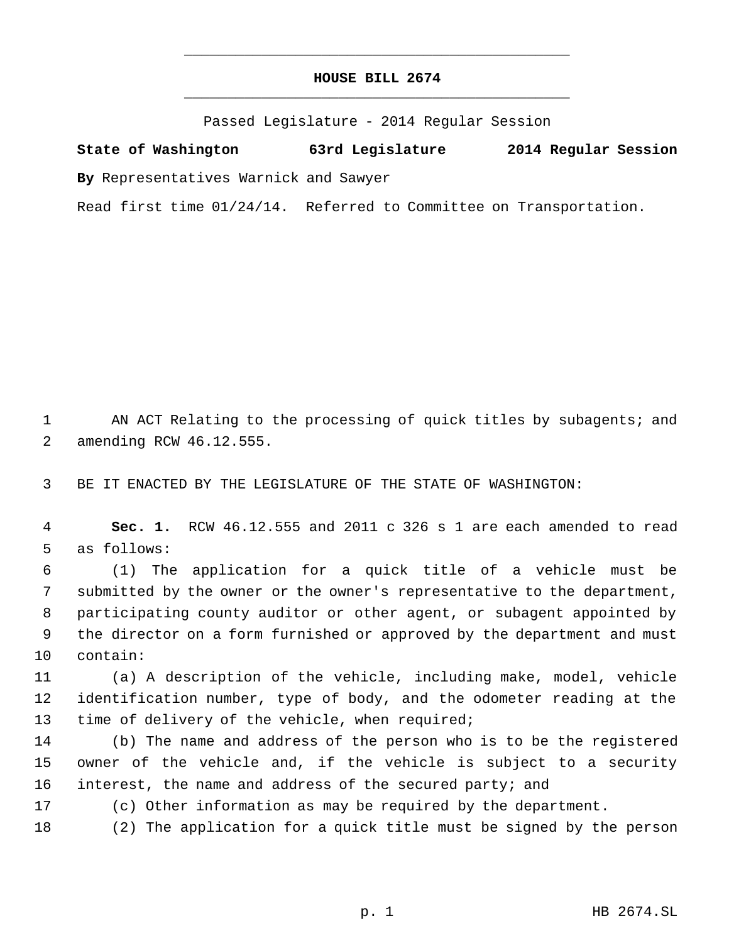## **HOUSE BILL 2674** \_\_\_\_\_\_\_\_\_\_\_\_\_\_\_\_\_\_\_\_\_\_\_\_\_\_\_\_\_\_\_\_\_\_\_\_\_\_\_\_\_\_\_\_\_

\_\_\_\_\_\_\_\_\_\_\_\_\_\_\_\_\_\_\_\_\_\_\_\_\_\_\_\_\_\_\_\_\_\_\_\_\_\_\_\_\_\_\_\_\_

Passed Legislature - 2014 Regular Session

**State of Washington 63rd Legislature 2014 Regular Session By** Representatives Warnick and Sawyer

Read first time 01/24/14. Referred to Committee on Transportation.

1 AN ACT Relating to the processing of quick titles by subagents; and 2 amending RCW 46.12.555.

3 BE IT ENACTED BY THE LEGISLATURE OF THE STATE OF WASHINGTON:

 4 **Sec. 1.** RCW 46.12.555 and 2011 c 326 s 1 are each amended to read 5 as follows:

 (1) The application for a quick title of a vehicle must be submitted by the owner or the owner's representative to the department, participating county auditor or other agent, or subagent appointed by the director on a form furnished or approved by the department and must 10 contain:

11 (a) A description of the vehicle, including make, model, vehicle 12 identification number, type of body, and the odometer reading at the 13 time of delivery of the vehicle, when required;

14 (b) The name and address of the person who is to be the registered 15 owner of the vehicle and, if the vehicle is subject to a security 16 interest, the name and address of the secured party; and

17 (c) Other information as may be required by the department.

18 (2) The application for a quick title must be signed by the person